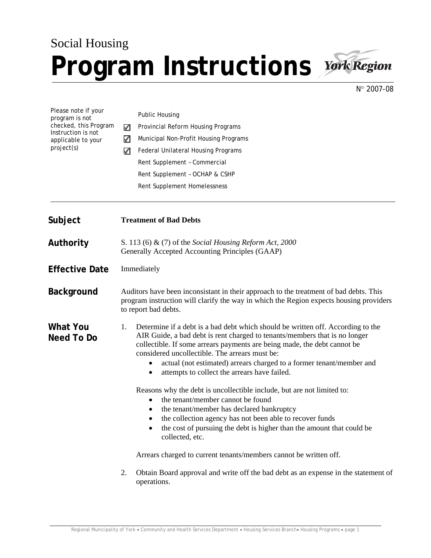## Social Housing Program Instructions **York Region**



N° 2007-08

| Please note if your<br>program is not<br>checked, this Program<br>Instruction is not<br>applicable to your<br>project(s) | ✓<br>✓<br>✓                                                                                                                                                                                             | <b>Public Housing</b><br>Provincial Reform Housing Programs<br>Municipal Non-Profit Housing Programs<br>Federal Unilateral Housing Programs<br>Rent Supplement - Commercial<br>Rent Supplement - OCHAP & CSHP<br>Rent Supplement Homelessness                                                                                                                                                                                                                                                                                                                                                                                                                                                                                                                                                                                       |
|--------------------------------------------------------------------------------------------------------------------------|---------------------------------------------------------------------------------------------------------------------------------------------------------------------------------------------------------|-------------------------------------------------------------------------------------------------------------------------------------------------------------------------------------------------------------------------------------------------------------------------------------------------------------------------------------------------------------------------------------------------------------------------------------------------------------------------------------------------------------------------------------------------------------------------------------------------------------------------------------------------------------------------------------------------------------------------------------------------------------------------------------------------------------------------------------|
| Subject                                                                                                                  | <b>Treatment of Bad Debts</b>                                                                                                                                                                           |                                                                                                                                                                                                                                                                                                                                                                                                                                                                                                                                                                                                                                                                                                                                                                                                                                     |
| Authority                                                                                                                | S. 113 (6) & (7) of the Social Housing Reform Act, 2000<br>Generally Accepted Accounting Principles (GAAP)                                                                                              |                                                                                                                                                                                                                                                                                                                                                                                                                                                                                                                                                                                                                                                                                                                                                                                                                                     |
| <b>Effective Date</b>                                                                                                    | Immediately                                                                                                                                                                                             |                                                                                                                                                                                                                                                                                                                                                                                                                                                                                                                                                                                                                                                                                                                                                                                                                                     |
| <b>Background</b>                                                                                                        | Auditors have been inconsistant in their approach to the treatment of bad debts. This<br>program instruction will clarify the way in which the Region expects housing providers<br>to report bad debts. |                                                                                                                                                                                                                                                                                                                                                                                                                                                                                                                                                                                                                                                                                                                                                                                                                                     |
| <b>What You</b><br>Need To Do                                                                                            | 1.                                                                                                                                                                                                      | Determine if a debt is a bad debt which should be written off. According to the<br>AIR Guide, a bad debt is rent charged to tenants/members that is no longer<br>collectible. If some arrears payments are being made, the debt cannot be<br>considered uncollectible. The arrears must be:<br>actual (not estimated) arrears charged to a former tenant/member and<br>attempts to collect the arrears have failed.<br>٠<br>Reasons why the debt is uncollectible include, but are not limited to:<br>the tenant/member cannot be found<br>$\bullet$<br>the tenant/member has declared bankruptcy<br>the collection agency has not been able to recover funds<br>the cost of pursuing the debt is higher than the amount that could be<br>٠<br>collected, etc.<br>Arrears charged to current tenants/members cannot be written off. |
|                                                                                                                          | 2.                                                                                                                                                                                                      | Obtain Board approval and write off the bad debt as an expense in the statement of<br>operations.                                                                                                                                                                                                                                                                                                                                                                                                                                                                                                                                                                                                                                                                                                                                   |